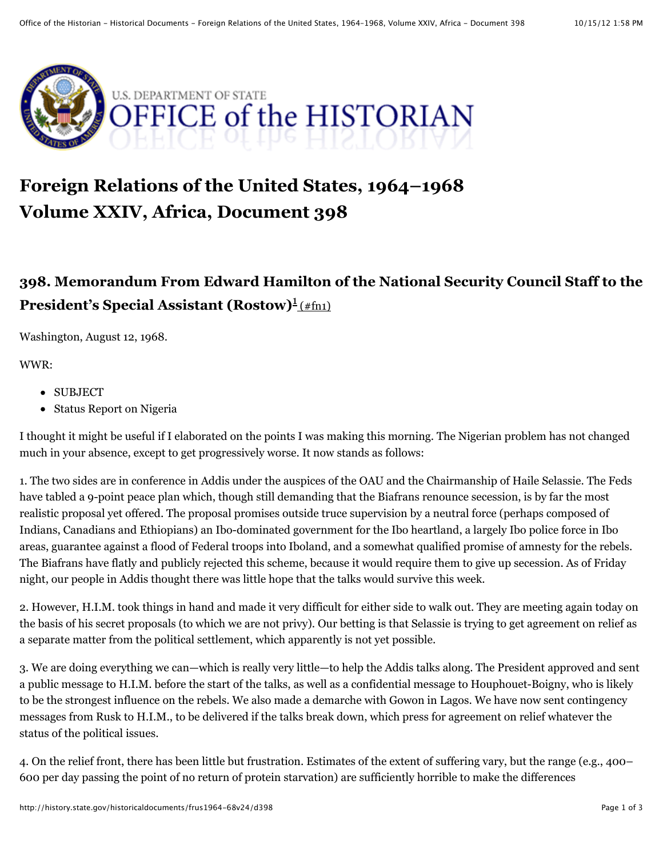

# **Foreign Relations of the United States, 1964–1968 Volume XXIV, Africa, Document 398**

# **398. Memorandum From Edward Hamilton of the National Security Council Staff to the** President's Special Assistant (Rostow)<sup>1</sup>(#fn1)

Washington, August 12, 1968.

WWR:

- SUBJECT
- Status Report on Nigeria

I thought it might be useful if I elaborated on the points I was making this morning. The Nigerian problem has not changed much in your absence, except to get progressively worse. It now stands as follows:

1. The two sides are in conference in Addis under the auspices of the OAU and the Chairmanship of Haile Selassie. The Feds have tabled a 9-point peace plan which, though still demanding that the Biafrans renounce secession, is by far the most realistic proposal yet offered. The proposal promises outside truce supervision by a neutral force (perhaps composed of Indians, Canadians and Ethiopians) an Ibo-dominated government for the Ibo heartland, a largely Ibo police force in Ibo areas, guarantee against a flood of Federal troops into Iboland, and a somewhat qualified promise of amnesty for the rebels. The Biafrans have flatly and publicly rejected this scheme, because it would require them to give up secession. As of Friday night, our people in Addis thought there was little hope that the talks would survive this week.

2. However, H.I.M. took things in hand and made it very difficult for either side to walk out. They are meeting again today on the basis of his secret proposals (to which we are not privy). Our betting is that Selassie is trying to get agreement on relief as a separate matter from the political settlement, which apparently is not yet possible.

3. We are doing everything we can—which is really very little—to help the Addis talks along. The President approved and sent a public message to H.I.M. before the start of the talks, as well as a confidential message to Houphouet-Boigny, who is likely to be the strongest influence on the rebels. We also made a demarche with Gowon in Lagos. We have now sent contingency messages from Rusk to H.I.M., to be delivered if the talks break down, which press for agreement on relief whatever the status of the political issues.

4. On the relief front, there has been little but frustration. Estimates of the extent of suffering vary, but the range (e.g., 400– 600 per day passing the point of no return of protein starvation) are sufficiently horrible to make the differences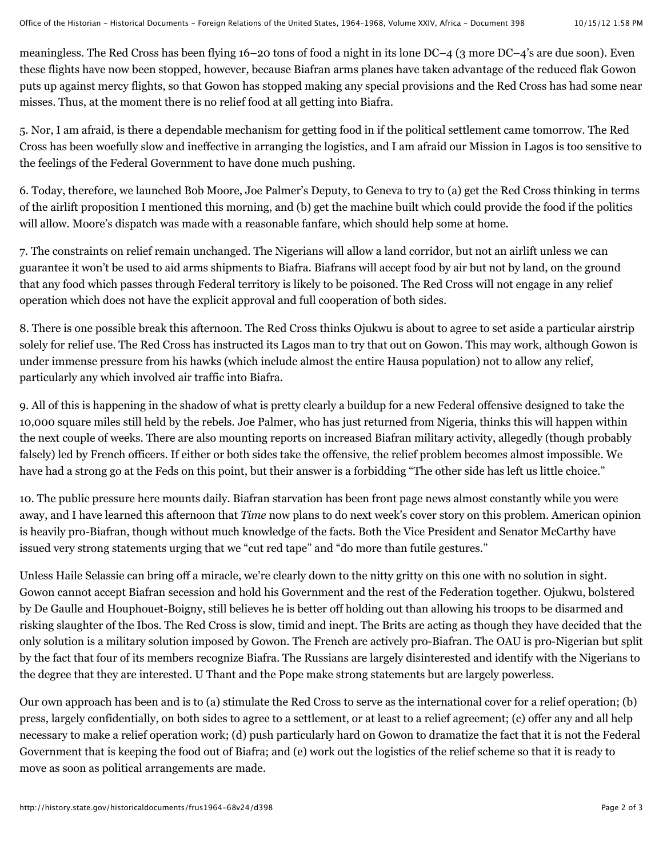meaningless. The Red Cross has been flying 16–20 tons of food a night in its lone DC–4 (3 more DC–4's are due soon). Even these flights have now been stopped, however, because Biafran arms planes have taken advantage of the reduced flak Gowon puts up against mercy flights, so that Gowon has stopped making any special provisions and the Red Cross has had some near misses. Thus, at the moment there is no relief food at all getting into Biafra.

5. Nor, I am afraid, is there a dependable mechanism for getting food in if the political settlement came tomorrow. The Red Cross has been woefully slow and ineffective in arranging the logistics, and I am afraid our Mission in Lagos is too sensitive to the feelings of the Federal Government to have done much pushing.

6. Today, therefore, we launched Bob Moore, Joe Palmer's Deputy, to Geneva to try to (a) get the Red Cross thinking in terms of the airlift proposition I mentioned this morning, and (b) get the machine built which could provide the food if the politics will allow. Moore's dispatch was made with a reasonable fanfare, which should help some at home.

7. The constraints on relief remain unchanged. The Nigerians will allow a land corridor, but not an airlift unless we can guarantee it won't be used to aid arms shipments to Biafra. Biafrans will accept food by air but not by land, on the ground that any food which passes through Federal territory is likely to be poisoned. The Red Cross will not engage in any relief operation which does not have the explicit approval and full cooperation of both sides.

8. There is one possible break this afternoon. The Red Cross thinks Ojukwu is about to agree to set aside a particular airstrip solely for relief use. The Red Cross has instructed its Lagos man to try that out on Gowon. This may work, although Gowon is under immense pressure from his hawks (which include almost the entire Hausa population) not to allow any relief, particularly any which involved air traffic into Biafra.

9. All of this is happening in the shadow of what is pretty clearly a buildup for a new Federal offensive designed to take the 10,000 square miles still held by the rebels. Joe Palmer, who has just returned from Nigeria, thinks this will happen within the next couple of weeks. There are also mounting reports on increased Biafran military activity, allegedly (though probably falsely) led by French officers. If either or both sides take the offensive, the relief problem becomes almost impossible. We have had a strong go at the Feds on this point, but their answer is a forbidding "The other side has left us little choice."

10. The public pressure here mounts daily. Biafran starvation has been front page news almost constantly while you were away, and I have learned this afternoon that *Time* now plans to do next week's cover story on this problem. American opinion is heavily pro-Biafran, though without much knowledge of the facts. Both the Vice President and Senator McCarthy have issued very strong statements urging that we "cut red tape" and "do more than futile gestures."

Unless Haile Selassie can bring off a miracle, we're clearly down to the nitty gritty on this one with no solution in sight. Gowon cannot accept Biafran secession and hold his Government and the rest of the Federation together. Ojukwu, bolstered by De Gaulle and Houphouet-Boigny, still believes he is better off holding out than allowing his troops to be disarmed and risking slaughter of the Ibos. The Red Cross is slow, timid and inept. The Brits are acting as though they have decided that the only solution is a military solution imposed by Gowon. The French are actively pro-Biafran. The OAU is pro-Nigerian but split by the fact that four of its members recognize Biafra. The Russians are largely disinterested and identify with the Nigerians to the degree that they are interested. U Thant and the Pope make strong statements but are largely powerless.

Our own approach has been and is to (a) stimulate the Red Cross to serve as the international cover for a relief operation; (b) press, largely confidentially, on both sides to agree to a settlement, or at least to a relief agreement; (c) offer any and all help necessary to make a relief operation work; (d) push particularly hard on Gowon to dramatize the fact that it is not the Federal Government that is keeping the food out of Biafra; and (e) work out the logistics of the relief scheme so that it is ready to move as soon as political arrangements are made.